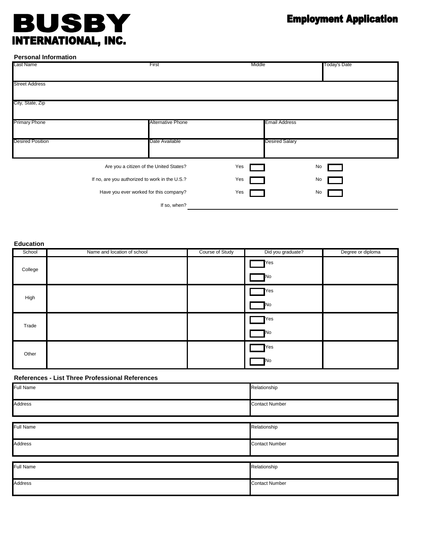# **JSBY** BI  $\bigcup$ INTERNATIONAL, INC.

# **Employment Application**

**Personal Information**

| Last Name               | First                                          | Middle                | Today's Date |
|-------------------------|------------------------------------------------|-----------------------|--------------|
| <b>Street Address</b>   |                                                |                       |              |
| City, State, Zip        |                                                |                       |              |
| <b>Primary Phone</b>    | <b>Alternative Phone</b>                       | <b>Email Address</b>  |              |
| <b>Desired Position</b> | Date Available                                 | <b>Desired Salary</b> |              |
|                         | Are you a citizen of the United States?        | Yes                   | No           |
|                         | If no, are you authorized to work in the U.S.? | Yes                   | No           |
|                         | Have you ever worked for this company?         | Yes                   | No           |
|                         | If so, when?                                   |                       |              |

**Education**

| ------  |                             |                 |                    |                   |
|---------|-----------------------------|-----------------|--------------------|-------------------|
| School  | Name and location of school | Course of Study | Did you graduate?  | Degree or diploma |
| College |                             |                 | Yes<br><b>No</b>   |                   |
| High    |                             |                 | <b>T</b> Yes<br>No |                   |
| Trade   |                             |                 | Yes<br><b>No</b>   |                   |
| Other   |                             |                 | Yes<br>No          |                   |

## **References - List Three Professional References**

| Full Name      | Relationship          |
|----------------|-----------------------|
| Address        | <b>Contact Number</b> |
|                |                       |
| Full Name      | Relationship          |
| <b>Address</b> | <b>Contact Number</b> |
|                |                       |
| Full Name      | Relationship          |
| Address        | <b>Contact Number</b> |